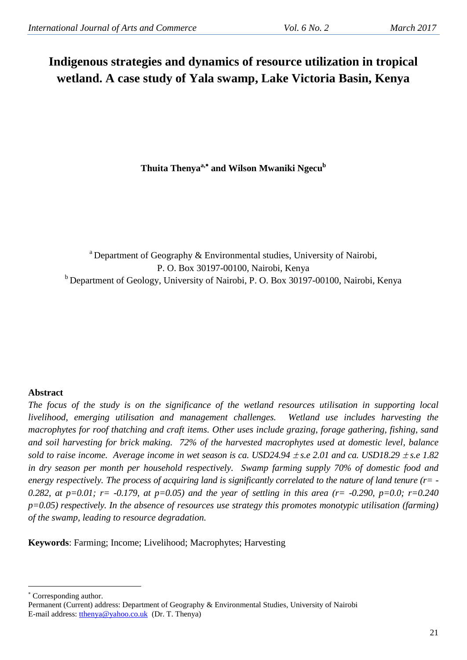# **Indigenous strategies and dynamics of resource utilization in tropical wetland. A case study of Yala swamp, Lake Victoria Basin, Kenya**

**Thuita Thenyaa, and Wilson Mwaniki Ngecu b**

<sup>a</sup> Department of Geography & Environmental studies, University of Nairobi, P. O. Box 30197-00100, Nairobi, Kenya <sup>b</sup> Department of Geology, University of Nairobi, P. O. Box 30197-00100, Nairobi, Kenya

# **Abstract**

*The focus of the study is on the significance of the wetland resources utilisation in supporting local livelihood, emerging utilisation and management challenges. Wetland use includes harvesting the macrophytes for roof thatching and craft items. Other uses include grazing, forage gathering, fishing, sand and soil harvesting for brick making. 72% of the harvested macrophytes used at domestic level, balance sold to raise income. Average income in wet season is ca. USD24.94*  $\pm$  *s.e 2.01 and ca. USD18.29*  $\pm$  *s.e 1.82 in dry season per month per household respectively. Swamp farming supply 70% of domestic food and energy respectively. The process of acquiring land is significantly correlated to the nature of land tenure (r= -* 0.282, at  $p=0.01$ ;  $r=-0.179$ , at  $p=0.05$ ) and the year of settling in this area ( $r=-0.290$ ,  $p=0.0$ ;  $r=0.240$ *p=0.05) respectively. In the absence of resources use strategy this promotes monotypic utilisation (farming) of the swamp, leading to resource degradation.*

**Keywords**: Farming; Income; Livelihood; Macrophytes; Harvesting

Corresponding author.

<u>.</u>

Permanent (Current) address: Department of Geography & Environmental Studies, University of Nairobi E-mail address: [tthenya@yahoo.co.uk](mailto:tthenya@yahoo.co.uk) (Dr. T. Thenya)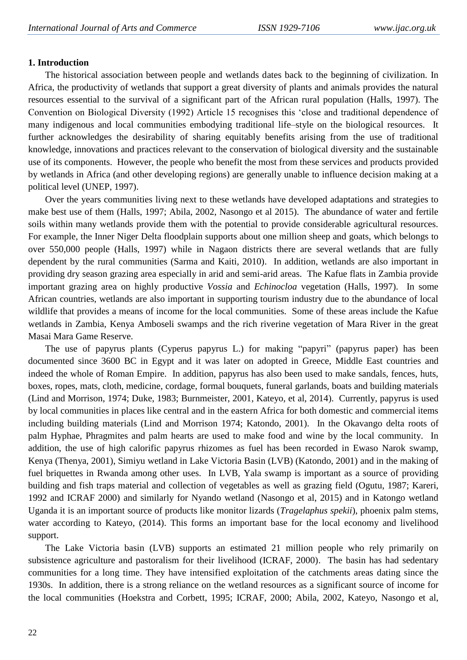# **1. Introduction**

The historical association between people and wetlands dates back to the beginning of civilization. In Africa, the productivity of wetlands that support a great diversity of plants and animals provides the natural resources essential to the survival of a significant part of the African rural population (Halls, 1997). The Convention on Biological Diversity (1992) Article 15 recognises this "close and traditional dependence of many indigenous and local communities embodying traditional life–style on the biological resources. It further acknowledges the desirability of sharing equitably benefits arising from the use of traditional knowledge, innovations and practices relevant to the conservation of biological diversity and the sustainable use of its components. However, the people who benefit the most from these services and products provided by wetlands in Africa (and other developing regions) are generally unable to influence decision making at a political level (UNEP, 1997).

Over the years communities living next to these wetlands have developed adaptations and strategies to make best use of them (Halls, 1997; Abila, 2002, Nasongo et al 2015). The abundance of water and fertile soils within many wetlands provide them with the potential to provide considerable agricultural resources. For example, the Inner Niger Delta floodplain supports about one million sheep and goats, which belongs to over 550,000 people (Halls, 1997) while in Nagaon districts there are several wetlands that are fully dependent by the rural communities (Sarma and Kaiti, 2010). In addition, wetlands are also important in providing dry season grazing area especially in arid and semi-arid areas. The Kafue flats in Zambia provide important grazing area on highly productive *Vossia* and *Echinocloa* vegetation (Halls, 1997). In some African countries, wetlands are also important in supporting tourism industry due to the abundance of local wildlife that provides a means of income for the local communities. Some of these areas include the Kafue wetlands in Zambia, Kenya Amboseli swamps and the rich riverine vegetation of Mara River in the great Masai Mara Game Reserve.

The use of papyrus plants (Cyperus papyrus L.) for making "papyri" (papyrus paper) has been documented since 3600 BC in Egypt and it was later on adopted in Greece, Middle East countries and indeed the whole of Roman Empire. In addition, papyrus has also been used to make sandals, fences, huts, boxes, ropes, mats, cloth, medicine, cordage, formal bouquets, funeral garlands, boats and building materials (Lind and Morrison, 1974; Duke, 1983; Burnmeister, 2001, Kateyo, et al, 2014). Currently, papyrus is used by local communities in places like central and in the eastern Africa for both domestic and commercial items including building materials (Lind and Morrison 1974; Katondo, 2001). In the Okavango delta roots of palm Hyphae, Phragmites and palm hearts are used to make food and wine by the local community. In addition, the use of high calorific papyrus rhizomes as fuel has been recorded in Ewaso Narok swamp, Kenya (Thenya, 2001), Simiyu wetland in Lake Victoria Basin (LVB) (Katondo, 2001) and in the making of fuel briquettes in Rwanda among other uses. In LVB, Yala swamp is important as a source of providing building and fish traps material and collection of vegetables as well as grazing field (Ogutu, 1987; Kareri, 1992 and ICRAF 2000) and similarly for Nyando wetland (Nasongo et al, 2015) and in Katongo wetland Uganda it is an important source of products like monitor lizards (*Tragelaphus spekii*), phoenix palm stems, water according to Kateyo, (2014). This forms an important base for the local economy and livelihood support.

The Lake Victoria basin (LVB) supports an estimated 21 million people who rely primarily on subsistence agriculture and pastoralism for their livelihood (ICRAF, 2000). The basin has had sedentary communities for a long time. They have intensified exploitation of the catchments areas dating since the 1930s. In addition, there is a strong reliance on the wetland resources as a significant source of income for the local communities (Hoekstra and Corbett, 1995; ICRAF, 2000; Abila, 2002, Kateyo, Nasongo et al,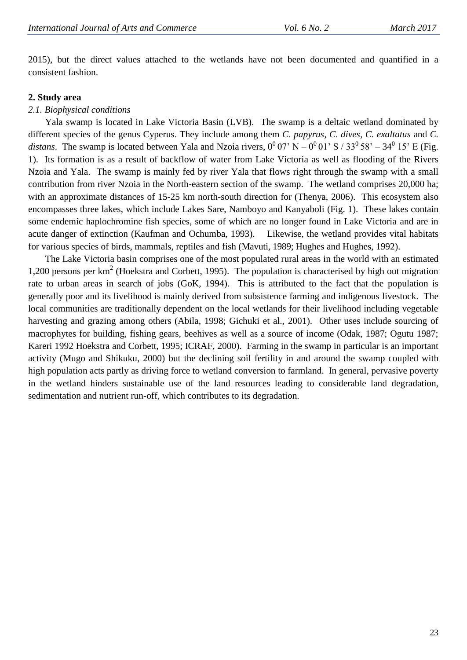2015), but the direct values attached to the wetlands have not been documented and quantified in a consistent fashion.

#### **2. Study area**

#### *2.1. Biophysical conditions*

Yala swamp is located in Lake Victoria Basin (LVB). The swamp is a deltaic wetland dominated by different species of the genus Cyperus. They include among them *C. papyrus, C. dives, C. exaltatus* and *C.*  distans. The swamp is located between Yala and Nzoia rivers,  $0^0$  07' N –  $0^0$  01' S / 33<sup>0</sup> 58' – 34<sup>0</sup> 15' E (Fig. 1). Its formation is as a result of backflow of water from Lake Victoria as well as flooding of the Rivers Nzoia and Yala. The swamp is mainly fed by river Yala that flows right through the swamp with a small contribution from river Nzoia in the North-eastern section of the swamp. The wetland comprises 20,000 ha; with an approximate distances of 15-25 km north-south direction for (Thenya, 2006). This ecosystem also encompasses three lakes, which include Lakes Sare, Namboyo and Kanyaboli (Fig. 1). These lakes contain some endemic haplochromine fish species, some of which are no longer found in Lake Victoria and are in acute danger of extinction (Kaufman and Ochumba, 1993). Likewise, the wetland provides vital habitats for various species of birds, mammals, reptiles and fish (Mavuti, 1989; Hughes and Hughes, 1992).

The Lake Victoria basin comprises one of the most populated rural areas in the world with an estimated 1,200 persons per km<sup>2</sup> (Hoekstra and Corbett, 1995). The population is characterised by high out migration rate to urban areas in search of jobs (GoK, 1994). This is attributed to the fact that the population is generally poor and its livelihood is mainly derived from subsistence farming and indigenous livestock. The local communities are traditionally dependent on the local wetlands for their livelihood including vegetable harvesting and grazing among others (Abila, 1998; Gichuki et al., 2001). Other uses include sourcing of macrophytes for building, fishing gears, beehives as well as a source of income (Odak, 1987; Ogutu 1987; Kareri 1992 Hoekstra and Corbett, 1995; ICRAF, 2000). Farming in the swamp in particular is an important activity (Mugo and Shikuku, 2000) but the declining soil fertility in and around the swamp coupled with high population acts partly as driving force to wetland conversion to farmland. In general, pervasive poverty in the wetland hinders sustainable use of the land resources leading to considerable land degradation, sedimentation and nutrient run-off, which contributes to its degradation.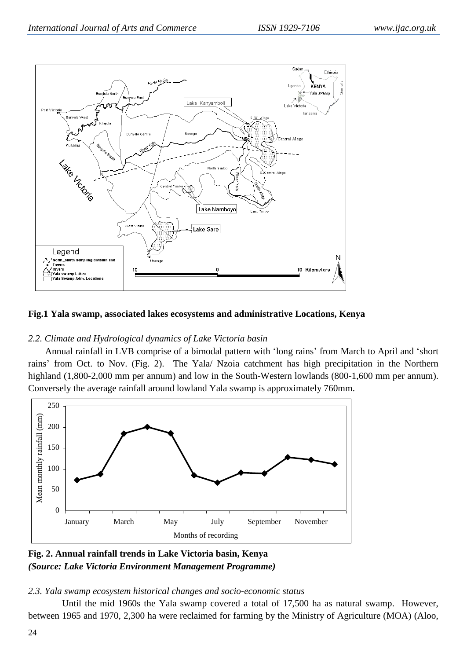

# **Fig.1 Yala swamp, associated lakes ecosystems and administrative Locations, Kenya**

# *2.2. Climate and Hydrological dynamics of Lake Victoria basin*

Annual rainfall in LVB comprise of a bimodal pattern with "long rains" from March to April and "short rains" from Oct. to Nov. (Fig. 2). The Yala/ Nzoia catchment has high precipitation in the Northern highland (1,800-2,000 mm per annum) and low in the South-Western lowlands (800-1,600 mm per annum). Conversely the average rainfall around lowland Yala swamp is approximately 760mm.



**Fig. 2. Annual rainfall trends in Lake Victoria basin, Kenya**  *(Source: Lake Victoria Environment Management Programme)*

## *2.3. Yala swamp ecosystem historical changes and socio-economic status*

Until the mid 1960s the Yala swamp covered a total of 17,500 ha as natural swamp. However, between 1965 and 1970, 2,300 ha were reclaimed for farming by the Ministry of Agriculture (MOA) (Aloo,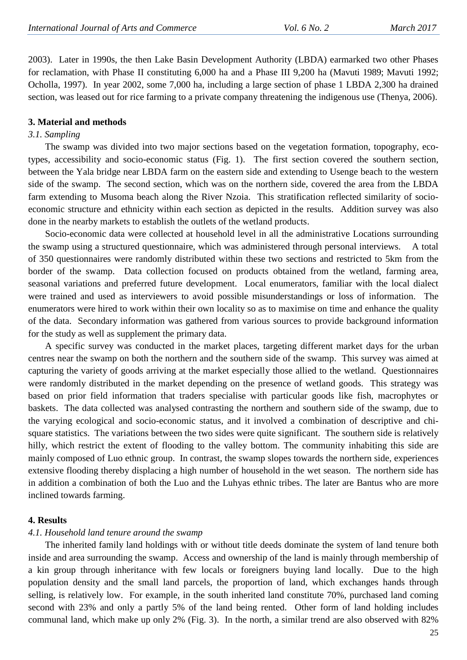2003). Later in 1990s, the then Lake Basin Development Authority (LBDA) earmarked two other Phases for reclamation, with Phase II constituting 6,000 ha and a Phase III 9,200 ha (Mavuti 1989; Mavuti 1992; Ocholla, 1997). In year 2002, some 7,000 ha, including a large section of phase 1 LBDA 2,300 ha drained section, was leased out for rice farming to a private company threatening the indigenous use (Thenya, 2006).

#### **3. Material and methods**

### *3.1. Sampling*

The swamp was divided into two major sections based on the vegetation formation, topography, ecotypes, accessibility and socio-economic status (Fig. 1). The first section covered the southern section, between the Yala bridge near LBDA farm on the eastern side and extending to Usenge beach to the western side of the swamp. The second section, which was on the northern side, covered the area from the LBDA farm extending to Musoma beach along the River Nzoia. This stratification reflected similarity of socioeconomic structure and ethnicity within each section as depicted in the results. Addition survey was also done in the nearby markets to establish the outlets of the wetland products.

Socio-economic data were collected at household level in all the administrative Locations surrounding the swamp using a structured questionnaire, which was administered through personal interviews. A total of 350 questionnaires were randomly distributed within these two sections and restricted to 5km from the border of the swamp. Data collection focused on products obtained from the wetland, farming area, seasonal variations and preferred future development. Local enumerators, familiar with the local dialect were trained and used as interviewers to avoid possible misunderstandings or loss of information. The enumerators were hired to work within their own locality so as to maximise on time and enhance the quality of the data. Secondary information was gathered from various sources to provide background information for the study as well as supplement the primary data.

A specific survey was conducted in the market places, targeting different market days for the urban centres near the swamp on both the northern and the southern side of the swamp. This survey was aimed at capturing the variety of goods arriving at the market especially those allied to the wetland. Questionnaires were randomly distributed in the market depending on the presence of wetland goods. This strategy was based on prior field information that traders specialise with particular goods like fish, macrophytes or baskets. The data collected was analysed contrasting the northern and southern side of the swamp, due to the varying ecological and socio-economic status, and it involved a combination of descriptive and chisquare statistics. The variations between the two sides were quite significant. The southern side is relatively hilly, which restrict the extent of flooding to the valley bottom. The community inhabiting this side are mainly composed of Luo ethnic group. In contrast, the swamp slopes towards the northern side, experiences extensive flooding thereby displacing a high number of household in the wet season. The northern side has in addition a combination of both the Luo and the Luhyas ethnic tribes. The later are Bantus who are more inclined towards farming.

#### **4. Results**

#### *4.1. Household land tenure around the swamp*

The inherited family land holdings with or without title deeds dominate the system of land tenure both inside and area surrounding the swamp. Access and ownership of the land is mainly through membership of a kin group through inheritance with few locals or foreigners buying land locally. Due to the high population density and the small land parcels, the proportion of land, which exchanges hands through selling, is relatively low. For example, in the south inherited land constitute 70%, purchased land coming second with 23% and only a partly 5% of the land being rented. Other form of land holding includes communal land, which make up only 2% (Fig. 3). In the north, a similar trend are also observed with 82%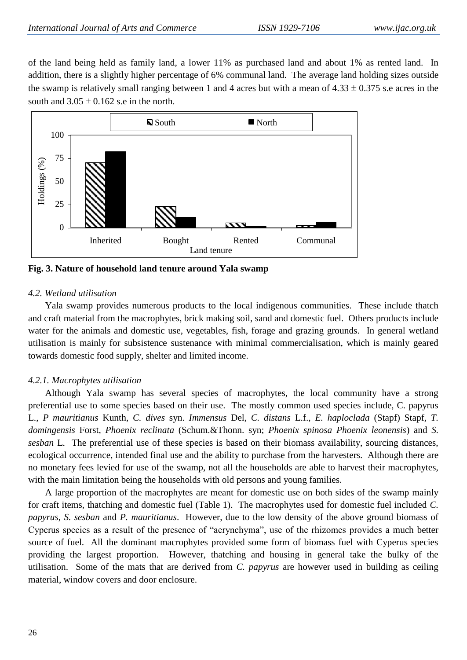of the land being held as family land, a lower 11% as purchased land and about 1% as rented land. In addition, there is a slightly higher percentage of 6% communal land. The average land holding sizes outside the swamp is relatively small ranging between 1 and 4 acres but with a mean of  $4.33 \pm 0.375$  s.e acres in the south and  $3.05 \pm 0.162$  s.e in the north.



**Fig. 3. Nature of household land tenure around Yala swamp**

## *4.2. Wetland utilisation*

Yala swamp provides numerous products to the local indigenous communities. These include thatch and craft material from the macrophytes, brick making soil, sand and domestic fuel. Others products include water for the animals and domestic use, vegetables, fish, forage and grazing grounds. In general wetland utilisation is mainly for subsistence sustenance with minimal commercialisation, which is mainly geared towards domestic food supply, shelter and limited income.

# *4.2.1. Macrophytes utilisation*

Although Yala swamp has several species of macrophytes, the local community have a strong preferential use to some species based on their use. The mostly common used species include, C. papyrus L., *P mauritianus* Kunth, *C. dives* syn. *Immensus* Del, *C. distans* L.f., *E. haploclada* (Stapf) Stapf, *T. domingensis* Forst, *Phoenix reclinata* (Schum.&Thonn. syn; *Phoenix spinosa Phoenix leonensis*) and *S. sesban* L. The preferential use of these species is based on their biomass availability, sourcing distances, ecological occurrence, intended final use and the ability to purchase from the harvesters. Although there are no monetary fees levied for use of the swamp, not all the households are able to harvest their macrophytes, with the main limitation being the households with old persons and young families.

A large proportion of the macrophytes are meant for domestic use on both sides of the swamp mainly for craft items, thatching and domestic fuel (Table 1). The macrophytes used for domestic fuel included *C. papyrus, S. sesban* and *P. mauritianus*. However, due to the low density of the above ground biomass of Cyperus species as a result of the presence of "aerynchyma", use of the rhizomes provides a much better source of fuel. All the dominant macrophytes provided some form of biomass fuel with Cyperus species providing the largest proportion. However, thatching and housing in general take the bulky of the utilisation. Some of the mats that are derived from *C. papyrus* are however used in building as ceiling material, window covers and door enclosure.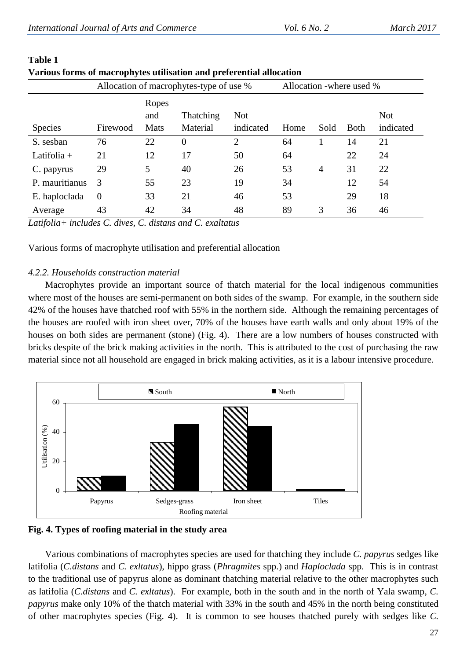|                | Allocation of macrophytes-type of use % | Allocation -where used % |                       |                         |      |                |             |                         |
|----------------|-----------------------------------------|--------------------------|-----------------------|-------------------------|------|----------------|-------------|-------------------------|
| <b>Species</b> | Firewood                                | Ropes<br>and<br>Mats     | Thatching<br>Material | <b>Not</b><br>indicated | Home | Sold           | <b>Both</b> | <b>Not</b><br>indicated |
| S. sesban      | 76                                      | 22                       | $\overline{0}$        | $\overline{2}$          | 64   |                | 14          | 21                      |
| Latifolia $+$  | 21                                      | 12                       | 17                    | 50                      | 64   |                | 22          | 24                      |
| C. papyrus     | 29                                      | 5                        | 40                    | 26                      | 53   | $\overline{4}$ | 31          | 22                      |
| P. mauritianus | 3                                       | 55                       | 23                    | 19                      | 34   |                | 12          | 54                      |
| E. haploclada  | $\theta$                                | 33                       | 21                    | 46                      | 53   |                | 29          | 18                      |
| Average        | 43                                      | 42                       | 34                    | 48                      | 89   | 3              | 36          | 46                      |

## **Table 1 Various forms of macrophytes utilisation and preferential allocation**

*Latifolia+ includes C. dives, C. distans and C. exaltatus*

Various forms of macrophyte utilisation and preferential allocation

# *4.2.2. Households construction material*

Macrophytes provide an important source of thatch material for the local indigenous communities where most of the houses are semi-permanent on both sides of the swamp. For example, in the southern side 42% of the houses have thatched roof with 55% in the northern side. Although the remaining percentages of the houses are roofed with iron sheet over, 70% of the houses have earth walls and only about 19% of the houses on both sides are permanent (stone) (Fig. 4). There are a low numbers of houses constructed with bricks despite of the brick making activities in the north. This is attributed to the cost of purchasing the raw material since not all household are engaged in brick making activities, as it is a labour intensive procedure.



**Fig. 4. Types of roofing material in the study area**

Various combinations of macrophytes species are used for thatching they include *C. papyrus* sedges like latifolia (*C.distans* and *C. exltatus*), hippo grass (*Phragmites* spp.) and *Haploclada* spp. This is in contrast to the traditional use of papyrus alone as dominant thatching material relative to the other macrophytes such as latifolia (*C.distans* and *C. exltatus*). For example, both in the south and in the north of Yala swamp, *C. papyrus* make only 10% of the thatch material with 33% in the south and 45% in the north being constituted of other macrophytes species (Fig. 4). It is common to see houses thatched purely with sedges like *C.*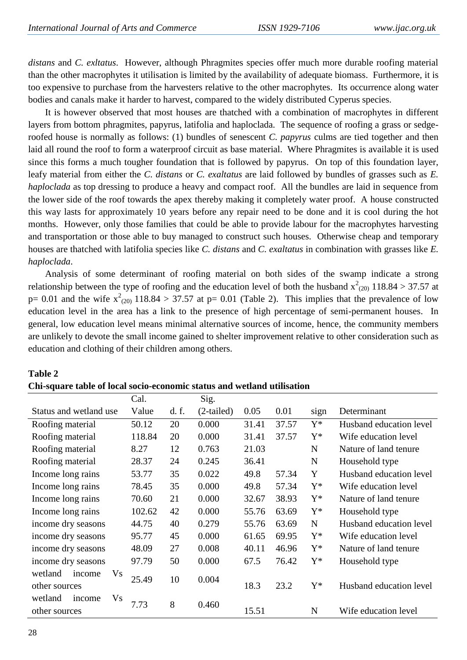*distans* and *C. exltatus*. However, although Phragmites species offer much more durable roofing material than the other macrophytes it utilisation is limited by the availability of adequate biomass. Furthermore, it is too expensive to purchase from the harvesters relative to the other macrophytes. Its occurrence along water bodies and canals make it harder to harvest, compared to the widely distributed Cyperus species.

It is however observed that most houses are thatched with a combination of macrophytes in different layers from bottom phragmites, papyrus, latifolia and haploclada. The sequence of roofing a grass or sedgeroofed house is normally as follows: (1) bundles of senescent *C. papyrus* culms are tied together and then laid all round the roof to form a waterproof circuit as base material. Where Phragmites is available it is used since this forms a much tougher foundation that is followed by papyrus. On top of this foundation layer, leafy material from either the *C. distans* or *C. exaltatus* are laid followed by bundles of grasses such as *E. haploclada* as top dressing to produce a heavy and compact roof. All the bundles are laid in sequence from the lower side of the roof towards the apex thereby making it completely water proof. A house constructed this way lasts for approximately 10 years before any repair need to be done and it is cool during the hot months. However, only those families that could be able to provide labour for the macrophytes harvesting and transportation or those able to buy managed to construct such houses. Otherwise cheap and temporary houses are thatched with latifolia species like *C. distans* and *C. exaltatus* in combination with grasses like *E. haploclada*.

Analysis of some determinant of roofing material on both sides of the swamp indicate a strong relationship between the type of roofing and the education level of both the husband  $x^2_{(20)}$  118.84 > 37.57 at  $p= 0.01$  and the wife  $x^2_{(20)}$  118.84 > 37.57 at  $p= 0.01$  (Table 2). This implies that the prevalence of low education level in the area has a link to the presence of high percentage of semi-permanent houses. In general, low education level means minimal alternative sources of income, hence, the community members are unlikely to devote the small income gained to shelter improvement relative to other consideration such as education and clothing of their children among others.

| om byuare table of local boclo economic biatub and weiland |        |       |              |       |       |       |                         |
|------------------------------------------------------------|--------|-------|--------------|-------|-------|-------|-------------------------|
|                                                            | Cal.   |       | Sig.         |       |       |       |                         |
| Status and wetland use                                     | Value  | d. f. | $(2-tailed)$ | 0.05  | 0.01  | sign  | Determinant             |
| Roofing material                                           | 50.12  | 20    | 0.000        | 31.41 | 37.57 | $Y^*$ | Husband education level |
| Roofing material                                           | 118.84 | 20    | 0.000        | 31.41 | 37.57 | $Y^*$ | Wife education level    |
| Roofing material                                           | 8.27   | 12    | 0.763        | 21.03 |       | N     | Nature of land tenure   |
| Roofing material                                           | 28.37  | 24    | 0.245        | 36.41 |       | N     | Household type          |
| Income long rains                                          | 53.77  | 35    | 0.022        | 49.8  | 57.34 | Y     | Husband education level |
| Income long rains                                          | 78.45  | 35    | 0.000        | 49.8  | 57.34 | $Y^*$ | Wife education level    |
| Income long rains                                          | 70.60  | 21    | 0.000        | 32.67 | 38.93 | $Y^*$ | Nature of land tenure   |
| Income long rains                                          | 102.62 | 42    | 0.000        | 55.76 | 63.69 | $Y^*$ | Household type          |
| income dry seasons                                         | 44.75  | 40    | 0.279        | 55.76 | 63.69 | N     | Husband education level |
| income dry seasons                                         | 95.77  | 45    | 0.000        | 61.65 | 69.95 | $Y^*$ | Wife education level    |
| income dry seasons                                         | 48.09  | 27    | 0.008        | 40.11 | 46.96 | $Y^*$ | Nature of land tenure   |
| income dry seasons                                         | 97.79  | 50    | 0.000        | 67.5  | 76.42 | $Y^*$ | Household type          |
| wetland<br>Vs<br>income                                    |        |       |              |       |       |       |                         |
| other sources                                              | 25.49  | 10    | 0.004        | 18.3  | 23.2  | $Y^*$ | Husband education level |
| wetland<br>Vs<br>income                                    | 7.73   | 8     | 0.460        |       |       |       |                         |
| other sources                                              |        |       |              | 15.51 |       | N     | Wife education level    |

# **Table 2**

|  |  | Chi-square table of local socio-economic status and wetland utilisation |
|--|--|-------------------------------------------------------------------------|
|--|--|-------------------------------------------------------------------------|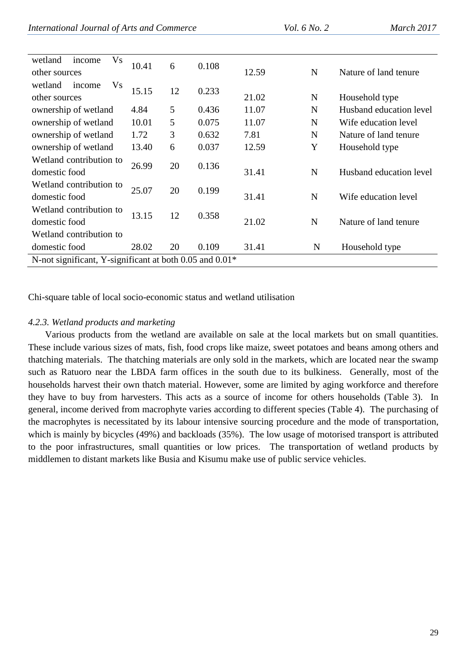| International Journal of Arts and Commerce | <i>Vol.</i> 6 <i>No.</i> 2 | March 2017 |
|--------------------------------------------|----------------------------|------------|
|--------------------------------------------|----------------------------|------------|

| <b>Vs</b><br>wetland<br>income<br>other sources                     | 10.41 | 6  | 0.108 | 12.59 | N           | Nature of land tenure   |
|---------------------------------------------------------------------|-------|----|-------|-------|-------------|-------------------------|
| <b>Vs</b><br>wetland<br>income<br>other sources                     | 15.15 | 12 | 0.233 | 21.02 | N           | Household type          |
| ownership of wetland                                                | 4.84  | 5  | 0.436 | 11.07 | N           | Husband education level |
| ownership of wetland                                                | 10.01 | 5  | 0.075 | 11.07 | N           | Wife education level    |
| ownership of wetland                                                | 1.72  | 3  | 0.632 | 7.81  | N           | Nature of land tenure   |
| ownership of wetland                                                | 13.40 | 6  | 0.037 | 12.59 | Y           | Household type          |
| Wetland contribution to<br>domestic food                            | 26.99 | 20 | 0.136 | 31.41 | $\mathbf N$ | Husband education level |
| Wetland contribution to<br>domestic food                            | 25.07 | 20 | 0.199 | 31.41 | N           | Wife education level    |
| Wetland contribution to<br>domestic food                            | 13.15 | 12 | 0.358 | 21.02 | N           | Nature of land tenure   |
| Wetland contribution to                                             |       |    |       |       |             |                         |
| domestic food                                                       | 28.02 | 20 | 0.109 | 31.41 | N           | Household type          |
| N-not significant, Y-significant at both 0.05 and 0.01 <sup>*</sup> |       |    |       |       |             |                         |

Chi-square table of local socio-economic status and wetland utilisation

# *4.2.3. Wetland products and marketing*

Various products from the wetland are available on sale at the local markets but on small quantities. These include various sizes of mats, fish, food crops like maize, sweet potatoes and beans among others and thatching materials. The thatching materials are only sold in the markets, which are located near the swamp such as Ratuoro near the LBDA farm offices in the south due to its bulkiness. Generally, most of the households harvest their own thatch material. However, some are limited by aging workforce and therefore they have to buy from harvesters. This acts as a source of income for others households (Table 3). In general, income derived from macrophyte varies according to different species (Table 4). The purchasing of the macrophytes is necessitated by its labour intensive sourcing procedure and the mode of transportation, which is mainly by bicycles (49%) and backloads (35%). The low usage of motorised transport is attributed to the poor infrastructures, small quantities or low prices. The transportation of wetland products by middlemen to distant markets like Busia and Kisumu make use of public service vehicles.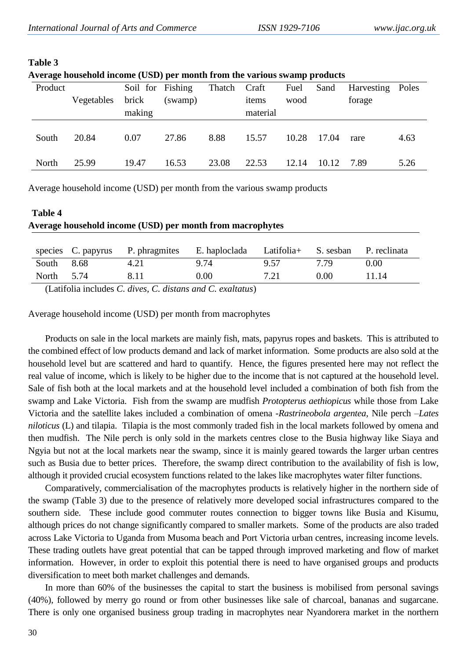| Average nousenoid income (USD) per month from the various swamp products |            |                  |         |        |          |       |       |            |       |
|--------------------------------------------------------------------------|------------|------------------|---------|--------|----------|-------|-------|------------|-------|
| Product                                                                  |            | Soil for Fishing |         | Thatch | Craft    | Fuel  | Sand  | Harvesting | Poles |
|                                                                          | Vegetables | brick            | (swamp) |        | items    | wood  |       | forage     |       |
|                                                                          |            | making           |         |        | material |       |       |            |       |
|                                                                          |            |                  |         |        |          |       |       |            |       |
| South                                                                    | 20.84      | 0.07             | 27.86   | 8.88   | 15.57    | 10.28 | 17.04 | rare       | 4.63  |
|                                                                          |            |                  |         |        |          |       |       |            |       |
| North                                                                    | 25.99      | 19.47            | 16.53   | 23.08  | 22.53    | 12.14 | 10.12 | 7.89       | 5.26  |

# **Table 3**

| Average household income (USD) per month from the various swamp products |  |  |
|--------------------------------------------------------------------------|--|--|
|                                                                          |  |  |
|                                                                          |  |  |
|                                                                          |  |  |

Average household income (USD) per month from the various swamp products

| <b>Table 4</b>                                            |  |
|-----------------------------------------------------------|--|
| Average household income (USD) per month from macrophytes |  |
|                                                           |  |

|            | species C. papyrus P. phragmites                                     | E. haploclada Latifolia + S. sesban P. reclinata |      |      |       |
|------------|----------------------------------------------------------------------|--------------------------------------------------|------|------|-------|
| South 8.68 | 4.21                                                                 | 9.74                                             | 9.57 | 7 79 | 0.00  |
| North 5.74 | 8.11                                                                 | $0.00^{\circ}$                                   | 7.21 | 0.00 | 11.14 |
|            | $\pi$ $\cdots$ $\cdots$ $\cdots$ $\cdots$ $\cdots$ $\cdots$ $\cdots$ |                                                  |      |      |       |

(Latifolia includes *C. dives, C. distans and C. exaltatus*)

Average household income (USD) per month from macrophytes

Products on sale in the local markets are mainly fish, mats, papyrus ropes and baskets. This is attributed to the combined effect of low products demand and lack of market information. Some products are also sold at the household level but are scattered and hard to quantify. Hence, the figures presented here may not reflect the real value of income, which is likely to be higher due to the income that is not captured at the household level. Sale of fish both at the local markets and at the household level included a combination of both fish from the swamp and Lake Victoria. Fish from the swamp are mudfish *Protopterus aethiopicus* while those from Lake Victoria and the satellite lakes included a combination of omena -*Rastrineobola argentea*, Nile perch –*Lates niloticus* (L) and tilapia. Tilapia is the most commonly traded fish in the local markets followed by omena and then mudfish. The Nile perch is only sold in the markets centres close to the Busia highway like Siaya and Ngyia but not at the local markets near the swamp, since it is mainly geared towards the larger urban centres such as Busia due to better prices. Therefore, the swamp direct contribution to the availability of fish is low, although it provided crucial ecosystem functions related to the lakes like macrophytes water filter functions.

Comparatively, commercialisation of the macrophytes products is relatively higher in the northern side of the swamp (Table 3) due to the presence of relatively more developed social infrastructures compared to the southern side. These include good commuter routes connection to bigger towns like Busia and Kisumu, although prices do not change significantly compared to smaller markets. Some of the products are also traded across Lake Victoria to Uganda from Musoma beach and Port Victoria urban centres, increasing income levels. These trading outlets have great potential that can be tapped through improved marketing and flow of market information. However, in order to exploit this potential there is need to have organised groups and products diversification to meet both market challenges and demands.

In more than 60% of the businesses the capital to start the business is mobilised from personal savings (40%), followed by merry go round or from other businesses like sale of charcoal, bananas and sugarcane. There is only one organised business group trading in macrophytes near Nyandorera market in the northern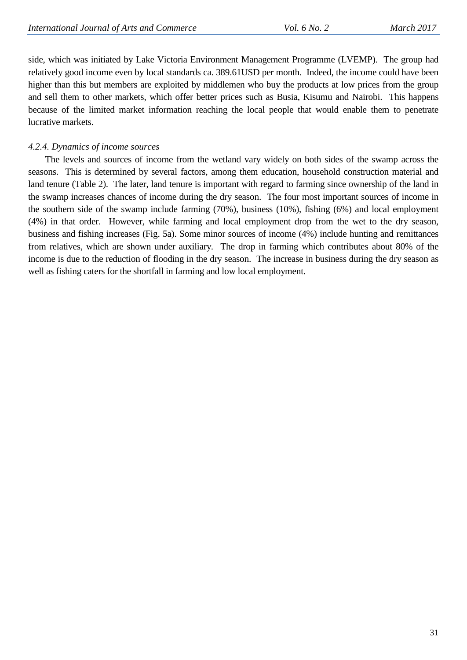side, which was initiated by Lake Victoria Environment Management Programme (LVEMP). The group had relatively good income even by local standards ca. 389.61USD per month. Indeed, the income could have been higher than this but members are exploited by middlemen who buy the products at low prices from the group and sell them to other markets, which offer better prices such as Busia, Kisumu and Nairobi. This happens because of the limited market information reaching the local people that would enable them to penetrate lucrative markets.

## *4.2.4. Dynamics of income sources*

The levels and sources of income from the wetland vary widely on both sides of the swamp across the seasons. This is determined by several factors, among them education, household construction material and land tenure (Table 2). The later, land tenure is important with regard to farming since ownership of the land in the swamp increases chances of income during the dry season. The four most important sources of income in the southern side of the swamp include farming (70%), business (10%), fishing (6%) and local employment (4%) in that order. However, while farming and local employment drop from the wet to the dry season, business and fishing increases (Fig. 5a). Some minor sources of income (4%) include hunting and remittances from relatives, which are shown under auxiliary. The drop in farming which contributes about 80% of the income is due to the reduction of flooding in the dry season. The increase in business during the dry season as well as fishing caters for the shortfall in farming and low local employment.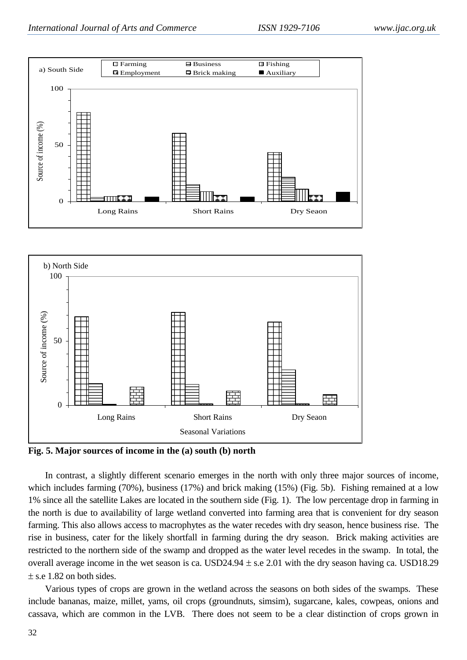



**Fig. 5. Major sources of income in the (a) south (b) north**

In contrast, a slightly different scenario emerges in the north with only three major sources of income, which includes farming (70%), business (17%) and brick making (15%) (Fig. 5b). Fishing remained at a low 1% since all the satellite Lakes are located in the southern side (Fig. 1). The low percentage drop in farming in the north is due to availability of large wetland converted into farming area that is convenient for dry season farming. This also allows access to macrophytes as the water recedes with dry season, hence business rise. The rise in business, cater for the likely shortfall in farming during the dry season. Brick making activities are restricted to the northern side of the swamp and dropped as the water level recedes in the swamp. In total, the overall average income in the wet season is ca. USD24.94  $\pm$  s.e 2.01 with the dry season having ca. USD18.29  $\pm$  s.e 1.82 on both sides.

Various types of crops are grown in the wetland across the seasons on both sides of the swamps. These include bananas, maize, millet, yams, oil crops (groundnuts, simsim), sugarcane, kales, cowpeas, onions and cassava, which are common in the LVB. There does not seem to be a clear distinction of crops grown in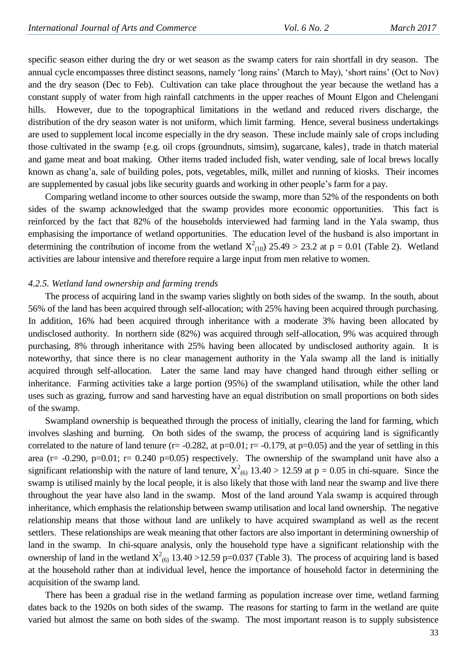specific season either during the dry or wet season as the swamp caters for rain shortfall in dry season. The annual cycle encompasses three distinct seasons, namely "long rains" (March to May), "short rains" (Oct to Nov) and the dry season (Dec to Feb). Cultivation can take place throughout the year because the wetland has a constant supply of water from high rainfall catchments in the upper reaches of Mount Elgon and Chelengani hills. However, due to the topographical limitations in the wetland and reduced rivers discharge, the distribution of the dry season water is not uniform, which limit farming. Hence, several business undertakings are used to supplement local income especially in the dry season. These include mainly sale of crops including those cultivated in the swamp {e.g. oil crops (groundnuts, simsim), sugarcane, kales}, trade in thatch material and game meat and boat making. Other items traded included fish, water vending, sale of local brews locally known as chang"a, sale of building poles, pots, vegetables, milk, millet and running of kiosks. Their incomes are supplemented by casual jobs like security guards and working in other people"s farm for a pay.

Comparing wetland income to other sources outside the swamp, more than 52% of the respondents on both sides of the swamp acknowledged that the swamp provides more economic opportunities. This fact is reinforced by the fact that 82% of the households interviewed had farming land in the Yala swamp, thus emphasising the importance of wetland opportunities. The education level of the husband is also important in determining the contribution of income from the wetland  $X^2_{(10)}$  25.49 > 23.2 at p = 0.01 (Table 2). Wetland activities are labour intensive and therefore require a large input from men relative to women.

#### *4.2.5. Wetland land ownership and farming trends*

The process of acquiring land in the swamp varies slightly on both sides of the swamp. In the south, about 56% of the land has been acquired through self-allocation; with 25% having been acquired through purchasing. In addition, 16% had been acquired through inheritance with a moderate 3% having been allocated by undisclosed authority. In northern side (82%) was acquired through self-allocation, 9% was acquired through purchasing, 8% through inheritance with 25% having been allocated by undisclosed authority again. It is noteworthy, that since there is no clear management authority in the Yala swamp all the land is initially acquired through self-allocation. Later the same land may have changed hand through either selling or inheritance. Farming activities take a large portion (95%) of the swampland utilisation, while the other land uses such as grazing, furrow and sand harvesting have an equal distribution on small proportions on both sides of the swamp.

Swampland ownership is bequeathed through the process of initially, clearing the land for farming, which involves slashing and burning. On both sides of the swamp, the process of acquiring land is significantly correlated to the nature of land tenure ( $r = -0.282$ , at  $p=0.01$ ;  $r = -0.179$ , at  $p=0.05$ ) and the year of settling in this area ( $r = -0.290$ ,  $p=0.01$ ;  $r = 0.240$   $p=0.05$ ) respectively. The ownership of the swampland unit have also a significant relationship with the nature of land tenure,  $X^2_{(6)}$  13.40 > 12.59 at p = 0.05 in chi-square. Since the swamp is utilised mainly by the local people, it is also likely that those with land near the swamp and live there throughout the year have also land in the swamp. Most of the land around Yala swamp is acquired through inheritance, which emphasis the relationship between swamp utilisation and local land ownership. The negative relationship means that those without land are unlikely to have acquired swampland as well as the recent settlers. These relationships are weak meaning that other factors are also important in determining ownership of land in the swamp. In chi-square analysis, only the household type have a significant relationship with the ownership of land in the wetland  $X^2$ <sub>(6)</sub> 13.40 >12.59 p=0.037 (Table 3). The process of acquiring land is based at the household rather than at individual level, hence the importance of household factor in determining the acquisition of the swamp land.

There has been a gradual rise in the wetland farming as population increase over time, wetland farming dates back to the 1920s on both sides of the swamp. The reasons for starting to farm in the wetland are quite varied but almost the same on both sides of the swamp. The most important reason is to supply subsistence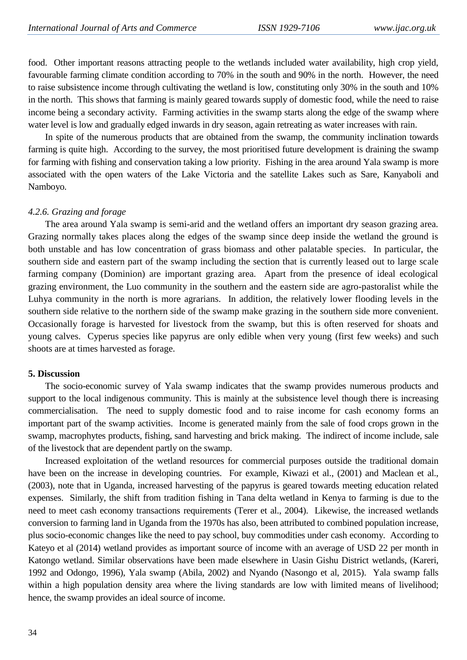food. Other important reasons attracting people to the wetlands included water availability, high crop yield, favourable farming climate condition according to 70% in the south and 90% in the north. However, the need to raise subsistence income through cultivating the wetland is low, constituting only 30% in the south and 10% in the north. This shows that farming is mainly geared towards supply of domestic food, while the need to raise income being a secondary activity. Farming activities in the swamp starts along the edge of the swamp where water level is low and gradually edged inwards in dry season, again retreating as water increases with rain.

In spite of the numerous products that are obtained from the swamp, the community inclination towards farming is quite high. According to the survey, the most prioritised future development is draining the swamp for farming with fishing and conservation taking a low priority. Fishing in the area around Yala swamp is more associated with the open waters of the Lake Victoria and the satellite Lakes such as Sare, Kanyaboli and Namboyo.

## *4.2.6. Grazing and forage*

The area around Yala swamp is semi-arid and the wetland offers an important dry season grazing area. Grazing normally takes places along the edges of the swamp since deep inside the wetland the ground is both unstable and has low concentration of grass biomass and other palatable species. In particular, the southern side and eastern part of the swamp including the section that is currently leased out to large scale farming company (Dominion) are important grazing area. Apart from the presence of ideal ecological grazing environment, the Luo community in the southern and the eastern side are agro-pastoralist while the Luhya community in the north is more agrarians. In addition, the relatively lower flooding levels in the southern side relative to the northern side of the swamp make grazing in the southern side more convenient. Occasionally forage is harvested for livestock from the swamp, but this is often reserved for shoats and young calves. Cyperus species like papyrus are only edible when very young (first few weeks) and such shoots are at times harvested as forage.

## **5. Discussion**

The socio-economic survey of Yala swamp indicates that the swamp provides numerous products and support to the local indigenous community. This is mainly at the subsistence level though there is increasing commercialisation. The need to supply domestic food and to raise income for cash economy forms an important part of the swamp activities. Income is generated mainly from the sale of food crops grown in the swamp, macrophytes products, fishing, sand harvesting and brick making. The indirect of income include, sale of the livestock that are dependent partly on the swamp.

Increased exploitation of the wetland resources for commercial purposes outside the traditional domain have been on the increase in developing countries. For example, Kiwazi et al., (2001) and Maclean et al., (2003), note that in Uganda, increased harvesting of the papyrus is geared towards meeting education related expenses. Similarly, the shift from tradition fishing in Tana delta wetland in Kenya to farming is due to the need to meet cash economy transactions requirements (Terer et al., 2004). Likewise, the increased wetlands conversion to farming land in Uganda from the 1970s has also, been attributed to combined population increase, plus socio-economic changes like the need to pay school, buy commodities under cash economy. According to Kateyo et al (2014) wetland provides as important source of income with an average of USD 22 per month in Katongo wetland. Similar observations have been made elsewhere in Uasin Gishu District wetlands, (Kareri, 1992 and Odongo, 1996), Yala swamp (Abila, 2002) and Nyando (Nasongo et al, 2015). Yala swamp falls within a high population density area where the living standards are low with limited means of livelihood; hence, the swamp provides an ideal source of income.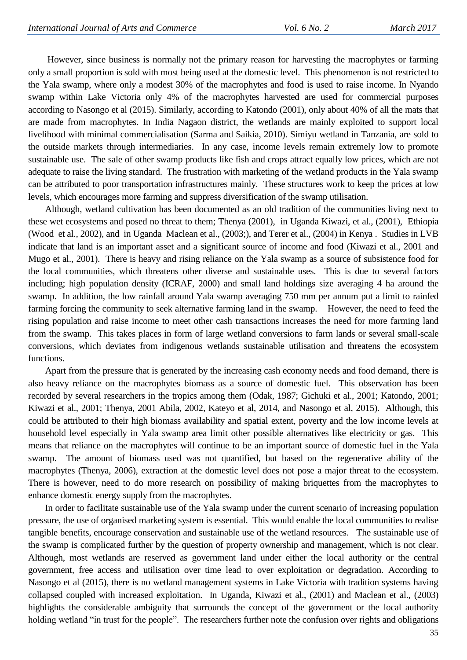However, since business is normally not the primary reason for harvesting the macrophytes or farming only a small proportion is sold with most being used at the domestic level. This phenomenon is not restricted to the Yala swamp, where only a modest 30% of the macrophytes and food is used to raise income. In Nyando swamp within Lake Victoria only 4% of the macrophytes harvested are used for commercial purposes according to Nasongo et al (2015). Similarly, according to Katondo (2001), only about 40% of all the mats that are made from macrophytes. In India Nagaon district, the wetlands are mainly exploited to support local livelihood with minimal commercialisation (Sarma and Saikia, 2010). Simiyu wetland in Tanzania, are sold to the outside markets through intermediaries. In any case, income levels remain extremely low to promote sustainable use. The sale of other swamp products like fish and crops attract equally low prices, which are not adequate to raise the living standard. The frustration with marketing of the wetland products in the Yala swamp can be attributed to poor transportation infrastructures mainly. These structures work to keep the prices at low levels, which encourages more farming and suppress diversification of the swamp utilisation.

Although, wetland cultivation has been documented as an old tradition of the communities living next to these wet ecosystems and posed no threat to them; Thenya (2001), in Uganda Kiwazi, et al., (2001), Ethiopia (Wood et al., 2002), and in Uganda Maclean et al., (2003;), and Terer et al., (2004) in Kenya . Studies in LVB indicate that land is an important asset and a significant source of income and food (Kiwazi et al., 2001 and Mugo et al., 2001). There is heavy and rising reliance on the Yala swamp as a source of subsistence food for the local communities, which threatens other diverse and sustainable uses. This is due to several factors including; high population density (ICRAF, 2000) and small land holdings size averaging 4 ha around the swamp. In addition, the low rainfall around Yala swamp averaging 750 mm per annum put a limit to rainfed farming forcing the community to seek alternative farming land in the swamp. However, the need to feed the rising population and raise income to meet other cash transactions increases the need for more farming land from the swamp. This takes places in form of large wetland conversions to farm lands or several small-scale conversions, which deviates from indigenous wetlands sustainable utilisation and threatens the ecosystem functions.

Apart from the pressure that is generated by the increasing cash economy needs and food demand, there is also heavy reliance on the macrophytes biomass as a source of domestic fuel. This observation has been recorded by several researchers in the tropics among them (Odak, 1987; Gichuki et al., 2001; Katondo, 2001; Kiwazi et al., 2001; Thenya, 2001 Abila, 2002, Kateyo et al, 2014, and Nasongo et al, 2015). Although, this could be attributed to their high biomass availability and spatial extent, poverty and the low income levels at household level especially in Yala swamp area limit other possible alternatives like electricity or gas. This means that reliance on the macrophytes will continue to be an important source of domestic fuel in the Yala swamp. The amount of biomass used was not quantified, but based on the regenerative ability of the macrophytes (Thenya, 2006), extraction at the domestic level does not pose a major threat to the ecosystem. There is however, need to do more research on possibility of making briquettes from the macrophytes to enhance domestic energy supply from the macrophytes.

In order to facilitate sustainable use of the Yala swamp under the current scenario of increasing population pressure, the use of organised marketing system is essential. This would enable the local communities to realise tangible benefits, encourage conservation and sustainable use of the wetland resources. The sustainable use of the swamp is complicated further by the question of property ownership and management, which is not clear. Although, most wetlands are reserved as government land under either the local authority or the central government, free access and utilisation over time lead to over exploitation or degradation. According to Nasongo et al (2015), there is no wetland management systems in Lake Victoria with tradition systems having collapsed coupled with increased exploitation. In Uganda, Kiwazi et al., (2001) and Maclean et al., (2003) highlights the considerable ambiguity that surrounds the concept of the government or the local authority holding wetland "in trust for the people". The researchers further note the confusion over rights and obligations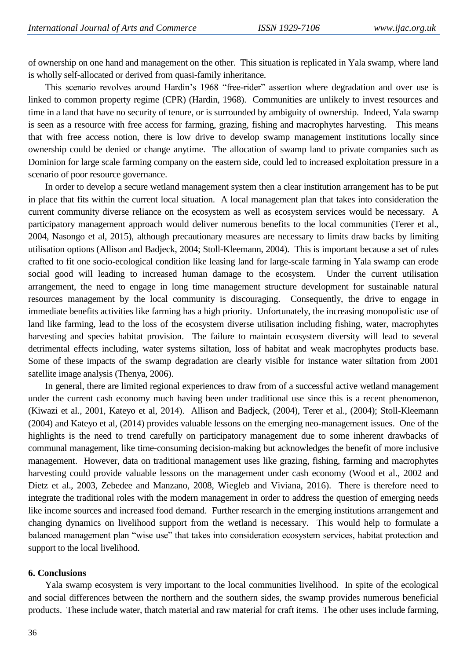of ownership on one hand and management on the other. This situation is replicated in Yala swamp, where land is wholly self-allocated or derived from quasi-family inheritance.

This scenario revolves around Hardin"s 1968 "free-rider" assertion where degradation and over use is linked to common property regime (CPR) (Hardin, 1968). Communities are unlikely to invest resources and time in a land that have no security of tenure, or is surrounded by ambiguity of ownership. Indeed, Yala swamp is seen as a resource with free access for farming, grazing, fishing and macrophytes harvesting. This means that with free access notion, there is low drive to develop swamp management institutions locally since ownership could be denied or change anytime. The allocation of swamp land to private companies such as Dominion for large scale farming company on the eastern side, could led to increased exploitation pressure in a scenario of poor resource governance.

In order to develop a secure wetland management system then a clear institution arrangement has to be put in place that fits within the current local situation. A local management plan that takes into consideration the current community diverse reliance on the ecosystem as well as ecosystem services would be necessary. A participatory management approach would deliver numerous benefits to the local communities (Terer et al., 2004, Nasongo et al, 2015), although precautionary measures are necessary to limits draw backs by limiting utilisation options (Allison and Badjeck, 2004; Stoll-Kleemann, 2004). This is important because a set of rules crafted to fit one socio-ecological condition like leasing land for large-scale farming in Yala swamp can erode social good will leading to increased human damage to the ecosystem. Under the current utilisation arrangement, the need to engage in long time management structure development for sustainable natural resources management by the local community is discouraging. Consequently, the drive to engage in immediate benefits activities like farming has a high priority. Unfortunately, the increasing monopolistic use of land like farming, lead to the loss of the ecosystem diverse utilisation including fishing, water, macrophytes harvesting and species habitat provision. The failure to maintain ecosystem diversity will lead to several detrimental effects including, water systems siltation, loss of habitat and weak macrophytes products base. Some of these impacts of the swamp degradation are clearly visible for instance water siltation from 2001 satellite image analysis (Thenya, 2006).

In general, there are limited regional experiences to draw from of a successful active wetland management under the current cash economy much having been under traditional use since this is a recent phenomenon, (Kiwazi et al., 2001, Kateyo et al, 2014). Allison and Badjeck, (2004), Terer et al., (2004); Stoll-Kleemann (2004) and Kateyo et al, (2014) provides valuable lessons on the emerging neo-management issues. One of the highlights is the need to trend carefully on participatory management due to some inherent drawbacks of communal management, like time-consuming decision-making but acknowledges the benefit of more inclusive management. However, data on traditional management uses like grazing, fishing, farming and macrophytes harvesting could provide valuable lessons on the management under cash economy (Wood et al., 2002 and Dietz et al., 2003, Zebedee and Manzano, 2008, Wiegleb and Viviana, 2016). There is therefore need to integrate the traditional roles with the modern management in order to address the question of emerging needs like income sources and increased food demand. Further research in the emerging institutions arrangement and changing dynamics on livelihood support from the wetland is necessary. This would help to formulate a balanced management plan "wise use" that takes into consideration ecosystem services, habitat protection and support to the local livelihood.

#### **6. Conclusions**

Yala swamp ecosystem is very important to the local communities livelihood. In spite of the ecological and social differences between the northern and the southern sides, the swamp provides numerous beneficial products. These include water, thatch material and raw material for craft items. The other uses include farming,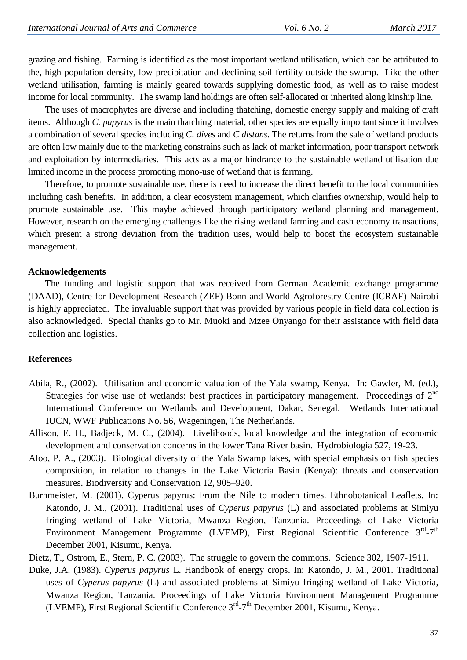grazing and fishing. Farming is identified as the most important wetland utilisation, which can be attributed to the, high population density, low precipitation and declining soil fertility outside the swamp. Like the other wetland utilisation, farming is mainly geared towards supplying domestic food, as well as to raise modest income for local community. The swamp land holdings are often self-allocated or inherited along kinship line.

The uses of macrophytes are diverse and including thatching, domestic energy supply and making of craft items. Although *C. papyrus* is the main thatching material, other species are equally important since it involves a combination of several species including *C. dives* and *C distans*. The returns from the sale of wetland products are often low mainly due to the marketing constrains such as lack of market information, poor transport network and exploitation by intermediaries. This acts as a major hindrance to the sustainable wetland utilisation due limited income in the process promoting mono-use of wetland that is farming.

Therefore, to promote sustainable use, there is need to increase the direct benefit to the local communities including cash benefits. In addition, a clear ecosystem management, which clarifies ownership, would help to promote sustainable use. This maybe achieved through participatory wetland planning and management. However, research on the emerging challenges like the rising wetland farming and cash economy transactions, which present a strong deviation from the tradition uses, would help to boost the ecosystem sustainable management.

#### **Acknowledgements**

The funding and logistic support that was received from German Academic exchange programme (DAAD), Centre for Development Research (ZEF)-Bonn and World Agroforestry Centre (ICRAF)-Nairobi is highly appreciated. The invaluable support that was provided by various people in field data collection is also acknowledged. Special thanks go to Mr. Muoki and Mzee Onyango for their assistance with field data collection and logistics.

## **References**

- Abila, R., (2002). Utilisation and economic valuation of the Yala swamp, Kenya. In: Gawler, M. (ed.), Strategies for wise use of wetlands: best practices in participatory management. Proceedings of 2<sup>nd</sup> International Conference on Wetlands and Development, Dakar, Senegal. Wetlands International IUCN, WWF Publications No. 56, Wageningen, The Netherlands.
- Allison, E. H., Badjeck, M. C., (2004). Livelihoods, local knowledge and the integration of economic development and conservation concerns in the lower Tana River basin. Hydrobiologia 527, 19-23.
- Aloo, P. A., (2003). Biological diversity of the Yala Swamp lakes, with special emphasis on fish species composition, in relation to changes in the Lake Victoria Basin (Kenya): threats and conservation measures. Biodiversity and Conservation 12, 905–920.
- Burnmeister, M. (2001). Cyperus papyrus: From the Nile to modern times. Ethnobotanical Leaflets. In: Katondo, J. M., (2001). Traditional uses of *Cyperus papyrus* (L) and associated problems at Simiyu fringing wetland of Lake Victoria, Mwanza Region, Tanzania. Proceedings of Lake Victoria Environment Management Programme (LVEMP), First Regional Scientific Conference 3<sup>rd</sup>-7<sup>th</sup> December 2001, Kisumu, Kenya.

Dietz, T., Ostrom, E., Stern, P. C. (2003). The struggle to govern the commons. Science 302, 1907-1911.

Duke, J.A. (1983). *Cyperus papyrus* L. Handbook of energy crops. In: Katondo, J. M., 2001. Traditional uses of *Cyperus papyrus* (L) and associated problems at Simiyu fringing wetland of Lake Victoria, Mwanza Region, Tanzania. Proceedings of Lake Victoria Environment Management Programme (LVEMP), First Regional Scientific Conference  $3<sup>rd</sup> - 7<sup>th</sup>$  December 2001, Kisumu, Kenya.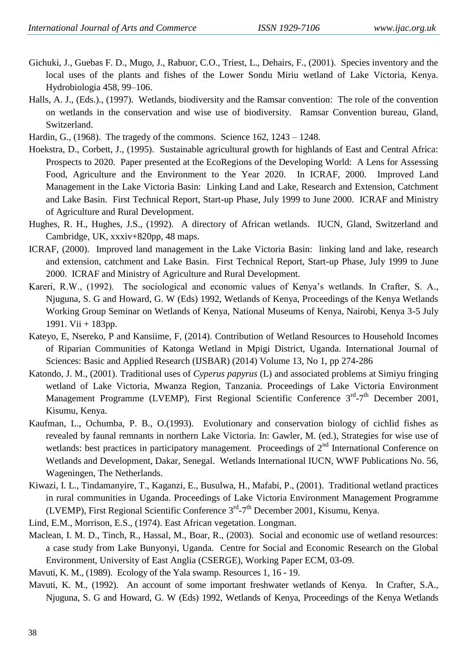- Gichuki, J., Guebas F. D., Mugo, J., Rabuor, C.O., Triest, L., Dehairs, F., (2001). Species inventory and the local uses of the plants and fishes of the Lower Sondu Miriu wetland of Lake Victoria, Kenya. Hydrobiologia 458, 99–106.
- Halls, A. J., (Eds.)., (1997). Wetlands, biodiversity and the Ramsar convention: The role of the convention on wetlands in the conservation and wise use of biodiversity. Ramsar Convention bureau, Gland, Switzerland.
- Hardin, G., (1968). The tragedy of the commons. Science 162, 1243 1248.
- Hoekstra, D., Corbett, J., (1995). Sustainable agricultural growth for highlands of East and Central Africa: Prospects to 2020. Paper presented at the EcoRegions of the Developing World: A Lens for Assessing Food, Agriculture and the Environment to the Year 2020. In ICRAF, 2000. Improved Land Management in the Lake Victoria Basin: Linking Land and Lake, Research and Extension, Catchment and Lake Basin. First Technical Report, Start-up Phase, July 1999 to June 2000. ICRAF and Ministry of Agriculture and Rural Development.
- Hughes, R. H., Hughes, J.S., (1992). A directory of African wetlands. IUCN, Gland, Switzerland and Cambridge, UK, xxxiv+820pp, 48 maps.
- ICRAF, (2000). Improved land management in the Lake Victoria Basin: linking land and lake, research and extension, catchment and Lake Basin. First Technical Report, Start-up Phase, July 1999 to June 2000. ICRAF and Ministry of Agriculture and Rural Development.
- Kareri, R.W., (1992). The sociological and economic values of Kenya"s wetlands. In Crafter, S. A., Njuguna, S. G and Howard, G. W (Eds) 1992, Wetlands of Kenya, Proceedings of the Kenya Wetlands Working Group Seminar on Wetlands of Kenya, National Museums of Kenya, Nairobi, Kenya 3-5 July 1991. Vii + 183pp.
- Kateyo, E, Nsereko, P and Kansiime, F, (2014). Contribution of Wetland Resources to Household Incomes of Riparian Communities of Katonga Wetland in Mpigi District, Uganda. International Journal of Sciences: Basic and Applied Research (IJSBAR) (2014) Volume 13, No 1, pp 274-286
- Katondo, J. M., (2001). Traditional uses of *Cyperus papyrus* (L) and associated problems at Simiyu fringing wetland of Lake Victoria, Mwanza Region, Tanzania. Proceedings of Lake Victoria Environment Management Programme (LVEMP), First Regional Scientific Conference 3<sup>rd</sup>-7<sup>th</sup> December 2001, Kisumu, Kenya.
- Kaufman, L., Ochumba, P. B., O.(1993). Evolutionary and conservation biology of cichlid fishes as revealed by faunal remnants in northern Lake Victoria. In: Gawler, M. (ed.), Strategies for wise use of wetlands: best practices in participatory management. Proceedings of  $2<sup>nd</sup>$  International Conference on Wetlands and Development, Dakar, Senegal. Wetlands International IUCN, WWF Publications No. 56, Wageningen, The Netherlands.
- Kiwazi, I. L., Tindamanyire, T., Kaganzi, E., Busulwa, H., Mafabi, P., (2001). Traditional wetland practices in rural communities in Uganda. Proceedings of Lake Victoria Environment Management Programme (LVEMP), First Regional Scientific Conference 3<sup>rd</sup>-7<sup>th</sup> December 2001, Kisumu, Kenya.
- Lind, E.M., Morrison, E.S., (1974). East African vegetation. Longman.
- Maclean, I. M. D., Tinch, R., Hassal, M., Boar, R., (2003). Social and economic use of wetland resources: a case study from Lake Bunyonyi, Uganda. Centre for Social and Economic Research on the Global Environment, University of East Anglia (CSERGE), Working Paper ECM, 03-09.
- Mavuti, K. M., (1989). Ecology of the Yala swamp. Resources 1, 16 19.
- Mavuti, K. M., (1992). An account of some important freshwater wetlands of Kenya. In Crafter, S.A., Njuguna, S. G and Howard, G. W (Eds) 1992, Wetlands of Kenya, Proceedings of the Kenya Wetlands